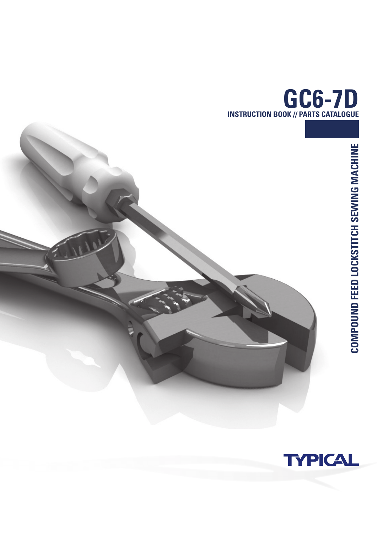





**COMPOUND FEED LOCKSTITCH SEWING MACHINE**

COMPOUND FEED LOCKSTITCH SEWING MACHINE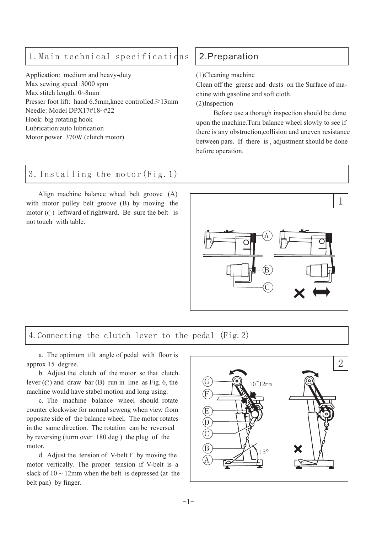# 1. Main technical specifications 2. Preparation

Application: medium and heavy-duty Max sewing speed :3000 spm Max stitch length: 0~8mm Presser foot lift: hand 6.5mm, knee controlled≥13mm Needle: Model DPX17#18~#22 Hook: big rotating hook Lubrication:auto lubrication Motor power 370W (clutch motor).

(1)Cleaning machine

Clean off the grease and dusts on the Surface of machine with gasoline and soft cloth.

(2)Inspection

Before use a thorugh inspection should be done upon the machine.Turn balance wheel slowly to see if there is any obstruction,collision and uneven resistance between pars. If there is , adjustment should be done before operation.

#### 3.Installing the motor(Fig.1)

Align machine balance wheel belt groove (A) with motor pulley belt groove (B) by moving the  $motor(C)$  leftward of rightward. Be sure the belt is not touch with table.



#### 4.Connecting the clutch lever to the pedal (Fig.2)

a. The optimum tilt angle of pedal with floor is approx 15 degree.

lever  $(C)$  and draw bar  $(B)$  run in line as Fig. 6, the b. Adjust the clutch of the motor so that clutch. machine would have stabel motion and long using.

c. The machine balance wheel should rotate counter clockwise for normal seweng when view from opposite side of the balance wheel. The motor rotates in the same direction. The rotation can be reversed by reversing (turm over 180 deg.) the plug of the motor.

d. Adjust the tension of V-belt F by moving the motor vertically. The proper tension if V-belt is a slack of  $10 \sim 12$ mm when the belt is depressed (at the belt pan) by finger.

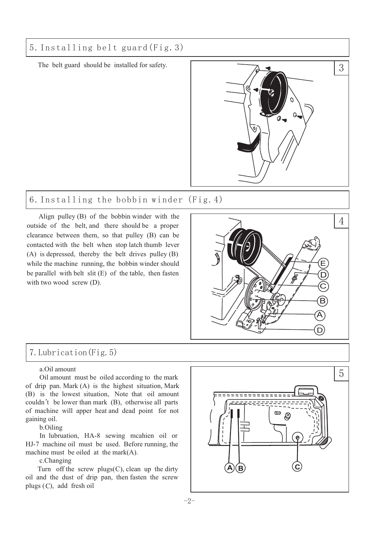# 5.Installing belt guard(Fig.3)

The belt guard should be installed for safety.



# 6.Installing the bobbin winder (Fig.4)

Align pulley (B) of the bobbin winder with the outside of the belt, and there should be a proper clearance between them, so that pulley (B) can be contacted with the belt when stop latch thumb lever (A) is depressed, thereby the belt drives pulley (B) while the machine running, the bobbin winder should be parallel with belt slit (E) of the table, then fasten with two wood screw (D).



# 7.Lubrication(Fig.5)

#### a.Oil amount

Oil amount must be oiled according to the mark of drip pan. Mark (A) is the highest situation, Mark (B) is the lowest situation, Note that oil amount couldn't be lower than mark (B), otherwise all parts of machine will apper heat and dead point for not gaining oil.

b.Oiling

In lubruation, HA-8 sewing mcahien oil or HJ-7 machine oil must be used. Before running, the machine must be oiled at the mark(A).

#### c.Changing

Turn off the screw plugs $(C)$ , clean up the dirty oil and the dust of drip pan, then fasten the screw plugs (C), add fresh oil

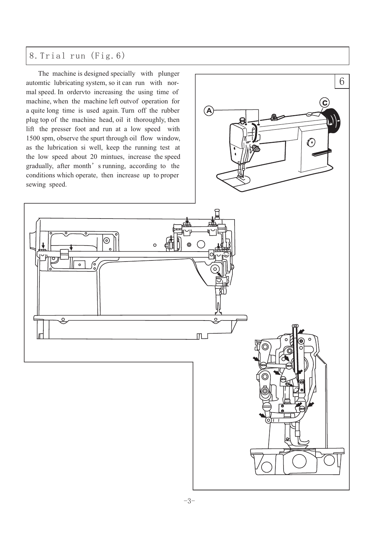# 8.Trial run (Fig.6)

The machine is designed specially with plunger automtic lubricating system, so it can run with normal speed. In ordervto increasing the using time of machine, when the machine left outvof operation for a quite long time is used again. Turn off the rubber plug top of the machine head, oil it thoroughly, then lift the presser foot and run at a low speed with 1500 spm, observe the spurt through oil flow window, as the lubrication si well, keep the running test at the low speed about 20 mintues, increase the speed gradually, after month' s running, according to the conditions which operate, then increase up to proper sewing speed.

 $\odot$ 

 $\circ$ 

 $\overline{\circ}$ 

 $\circ$ 

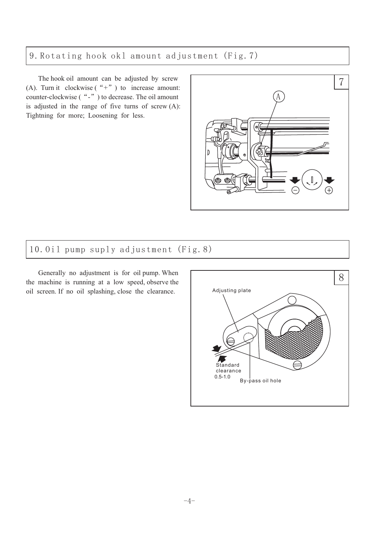# 9.Rotating hook okl amount adjustment (Fig.7)

The hook oil amount can be adjusted by screw (A). Turn it clockwise  $(*+")$  to increase amount: counter-clockwise ("-") to decrease. The oil amount is adjusted in the range of five turns of screw (A): Tightning for more; Loosening for less.



# 10.Oil pump suply adjustment (Fig.8)

Generally no adjustment is for oil pump. When the machine is running at a low speed, observe the oil screen. If no oil splashing, close the clearance.

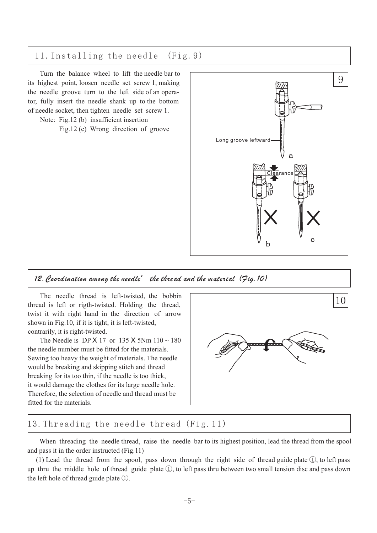#### 11.Installing the needle (Fig.9)

Turn the balance wheel to lift the needle bar to its highest point, loosen needle set screw 1, making the needle groove turn to the left side of an operator, fully insert the needle shank up to the bottom of needle socket, then tighten needle set screw 1.

Note: Fig.12 (b) insufficient insertion

Fig.12 (c) Wrong direction of groove



#### 12. Coordination among the needle' the thread and the material (Jig.10)

The needle thread is left-twisted, the bobbin thread is left or rigth-twisted. Holding the thread, twist it with right hand in the direction of arrow shown in Fig.10, if it is tight, it is left-twisted, contrarily, it is right-twisted.

The Needle is DP X 17 or 135 X 5Nm  $110 \sim 180$ the needle number must be fitted for the materials. Sewing too heavy the weight of materials. The needle would be breaking and skipping stitch and thread breaking for its too thin, if the needle is too thick, it would damage the clothes for its large needle hole. Therefore, the selection of needle and thread must be fitted for the materials.



#### 13.Threading the needle thread (Fig.11)

When threading the needle thread, raise the needle bar to its highest position, lead the thread from the spool and pass it in the order instructed (Fig.11)

(1) Lead the thread from the spool, pass down through the right side of thread guide plate  $(1)$ , to left pass up thru the middle hole of thread guide plate  $(1)$ , to left pass thru between two small tension disc and pass down the left hole of thread guide plate  $\mathbb{D}$ .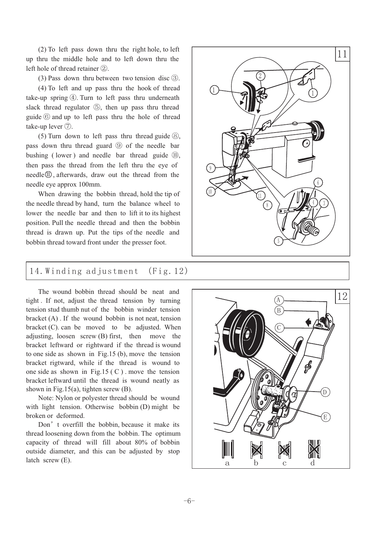(2) To left pass down thru the right hole, to left up thru the middle hole and to left down thru the left hole of thread retainer 2.

 $(3)$  Pass down thru between two tension disc  $(3)$ .

(4) To left and up pass thru the hook of thread take-up spring  $(4)$ . Turn to left pass thru underneath slack thread regulator 5, then up pass thru thread guide  $\circled{6}$  and up to left pass thru the hole of thread take-up lever  $\circled{?}$ .

(5) Turn down to left pass thru thread guide  $\circledS$ , pass down thru thread guard **⑨** of the needle bar bushing (lower) and needle bar thread guide (10), then pass the thread from the left thru the eye of  $needle \oplus$ , afterwards, draw out the thread from the needle eye approx 100mm.

When drawing the bobbin thread, hold the tip of the needle thread by hand, turn the balance wheel to lower the needle bar and then to lift it to its highest position. Pull the needle thread and then the bobbin thread is drawn up. Put the tips of the needle and bobbin thread toward front under the presser foot.

#### 14.Winding adjustment (Fig.12)

The wound bobbin thread should be neat and tight . If not, adjust the thread tension by turning tension stud thumb nut of the bobbin winder tension bracket  $(A)$ . If the wound bobbin is not neat, tension bracket (C). can be moved to be adjusted. When adjusting, loosen screw (B) first, then move the bracket leftward or rightward if the thread is wound to one side as shown in Fig.15 (b), move the tension bracket rigtward, while if the thread is wound to one side as shown in Fig.15  $(C)$ . move the tension bracket leftward until the thread is wound neatly as shown in Fig.15(a), tighten screw (B).

Note: Nylon or polyester thread should be wound with light tension. Otherwise bobbin (D) might be broken or deformed.

Don' t overfill the bobbin, because it make its thread loosening down from the bobbin. The optimum capacity of thread will fill about 80% of bobbin outside diameter, and this can be adjusted by stop latch screw (E).



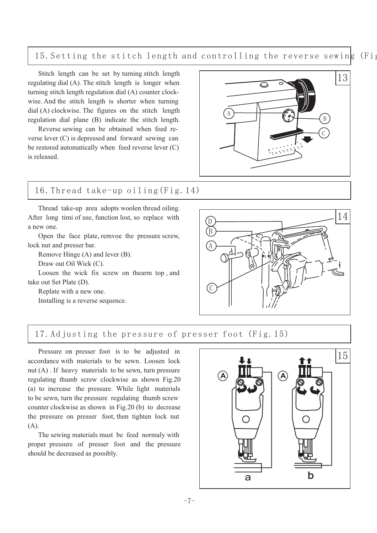15.Setting the stitch length and controlling the reverse sewing (Fig

Stitch length can be set by turning stitch length regulating dial (A). The stitch length is longer when turning stitch length regulation dial (A) counter clockwise. And the stitch length is shorter when turning dial (A) clockwise. The figures on the stitch length regulation dial plane (B) indicate the stitch length.

Reverse sewing can be obtained when feed reverse lever (C) is depressed and forward sewing can be restored automatically when feed reverse lever ( C) is released.

# 13 A B  $\mathcal{C}$

# 16.Thread take-up oiling(Fig.14)

Thread take-up area adopts woolen thread oiling. After long timi of use, function lost, so replace with a new one.

Open the face plate, remvoe the pressure screw, lock nut and presser bar.

Remove Hinge (A) and lever (B).

Draw out Oil Wick (C).

Loosen the wick fix screw on thearm top , and take out Set Plate (D).

Replate with a new one.

Installing is a reverse sequence.



#### 17.Adjusting the pressure of presser foot (Fig.15)

Pressure on presser foot is to be adjusted in accordance with materials to be sewn. Loosen lock nut (A) . If heavy materials to be sewn, turn pressure regulating thumb screw clockwise as shown Fig.20 (a) to increase the pressure. While light materials to be sewn, turn the pressure regulating thumb screw counter clockwise as shown in Fig.20 (b) to decrease the pressure on presser foot, then tighten lock nut (A).

The sewing materials must be feed normaly with proper pressure of presser foot and the pressure should be decreased as possibly.

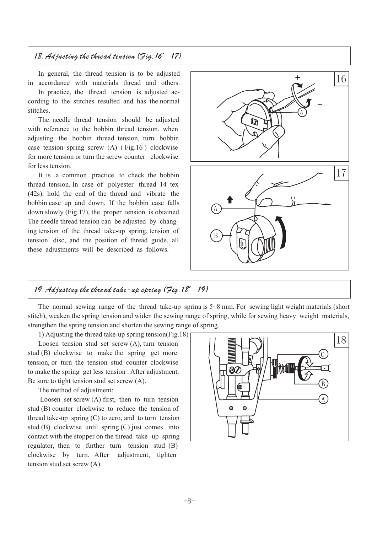#### 18.Adjusting the thread tension (Fig.16、17)

In general, the thread tension is to be adjusted in accordance with materials thread and others.

In practice, the thread tension is adjusted according to the stitches resulted and has the normal stitches.

The needle thread tension should be adjusted with referance to the bobbin thread tension. when adjusting the bobbin thread tension, turn bobbin case tension spring screw (A) ( Fig.16 ) clockwise for more tension or turn the screw counter clockwise for less tension.

It is a common practice to check the bobbin thread tension. In case of polyester thread 14 tex (42s), hold the end of the thread and vibrate the bobbin case up and down. If the bobbin case falls down slowly (Fig.17), the proper tension is obtained. The needle thread tension can be adjusted by changing tension of the thread take-up spring, tension of tension disc, and the position of thread guide, all these adjustments will be described as follows.



#### 19.Adjusting the thread take-up spring (Fig.18、19)

The normal sewing range of the thread take-up sprina is 5~8 mm. For sewing light weight materials (short stitch), weaken the spring tension and widen the sewing range of spring, while for sewing heavy weight materials, strengthen the spring tension and shorten the sewing range of spring.

1) Adjusting the thread take-up spring tension(Fig.18)

Loosen tension stud set screw (A), turn tension stud (B) clockwise to make the spring get more tension, or turn the tension stud counter clockwise to make the spring get less tension . After adjustment, Be sure to tight tension stud set screw (A).

The method of adjustment:

Loosen set screw (A) first, then to turn tension stud (B) counter clockwise to reduce the tension of thread take-up spring (C) to zero, and to turn tension stud (B) clockwise until spring (C) just comes into contact with the stopper on the thread take -up spring regulator, then to further turn tension stud (B) clockwise by turn. After adjustment, tighten tension stud set screw (A).

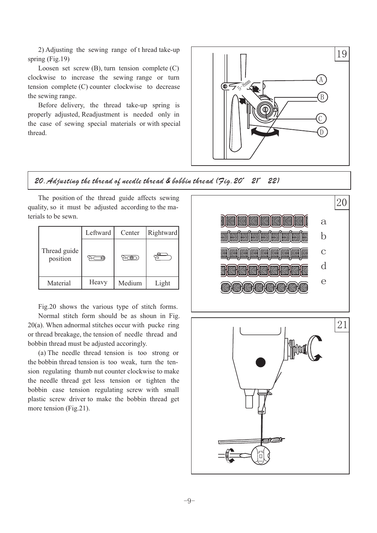2) Adjusting the sewing range of t hread take-up spring (Fig.19)

Loosen set screw (B), turn tension complete (C) clockwise to increase the sewing range or turn tension complete (C) counter clockwise to decrease the sewing range.

Before delivery, the thread take-up spring is properly adjusted, Readjustment is needed only in the case of sewing special materials or with special thread.



#### 20.Adjusting the thread of needle thread & bobbin thread (Fig.20、21、22)

The position of the thread guide affects sewing quality, so it must be adjusted according to the materials to be sewn.

|                          | Leftward | Center | Rightward |
|--------------------------|----------|--------|-----------|
| Thread guide<br>position |          |        |           |
| Material                 | Heavy    | Medium | Light     |

Fig.20 shows the various type of stitch forms. Normal stitch form should be as shoun in Fig. 20(a). When adnormal stitches occur with pucke ring or thread breakage, the tension of needle thread and bobbin thread must be adjusted accoringly.

(a) The needle thread tension is too strong or the bobbin thread tension is too weak, turn the tension regulating thumb nut counter clockwise to make the needle thread get less tension or tighten the bobbin case tension regulating screw with small plastic screw driver to make the bobbin thread get more tension (Fig.21).

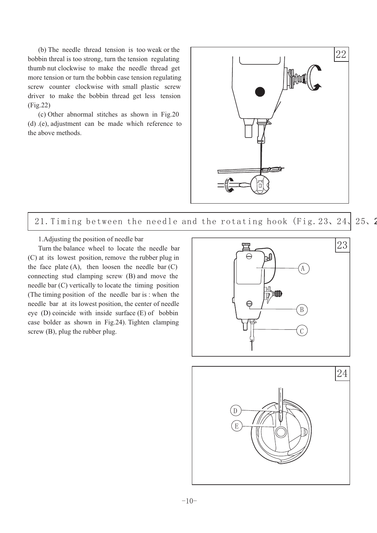(b) The needle thread tension is too weak or the bobbin threal is too strong, turn the tension regulating thumb nut clockwise to make the needle thread get more tension or turn the bobbin case tension regulating screw counter clockwise with small plastic screw driver to make the bobbin thread get less tension (Fig.22)

(c) Other abnormal stitches as shown in Fig.20 (d) .(e), adjustment can be made which reference to the above methods.



21. Timing between the needle and the rotating hook (Fig. 23, 24, 25, 2

1.Adjusting the position of needle bar

Turn the balance wheel to locate the needle bar (C) at its lowest position, remove the rubber plug in the face plate  $(A)$ , then loosen the needle bar  $(C)$ connecting stud clamping screw (B) and move the needle bar (C) vertically to locate the timing position (The timing position of the needle bar is : when the needle bar at its lowest position, the center of needle eye (D) coincide with inside surface (E) of bobbin case bolder as shown in Fig.24). Tighten clamping screw (B), plug the rubber plug.

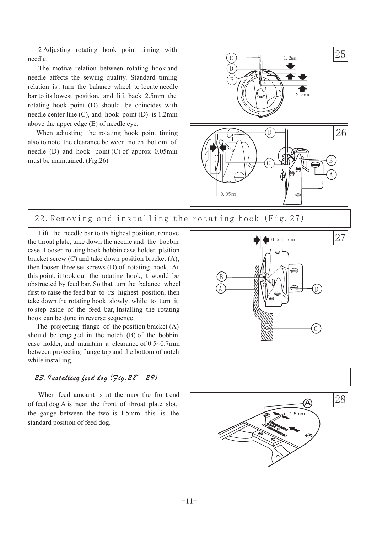2 Adjusting rotating hook point timing with needle.

The motive relation between rotating hook and needle affects the sewing quality. Standard timing relation is : turn the balance wheel to locate needle bar to its lowest position, and lift back 2.5mm the rotating hook point (D) should be coincides with needle center line (C), and hook point (D) is 1.2mm above the upper edge (E) of needle eye.

When adjusting the rotating hook point timing also to note the clearance between notch bottom of needle (D) and hook point (C) of approx 0.05min must be maintained. (Fig.26)



22.Removing and installing the rotating hook (Fig.27)

Lift the needle bar to its highest position, remove the throat plate, take down the needle and the bobbin case. Loosen rotaing hook bobbin case holder plsition bracket screw (C) and take down position bracket (A), then loosen three set screws (D) of rotating hook, At this point, it took out the rotating hook, it would be obstructed by feed bar. So that turn the balance wheel first to raise the feed bar to its highest position, then take down the rotating hook slowly while to turn it to step aside of the feed bar, Installing the rotating hook can be done in reverse sequence.

The projecting flange of the position bracket (A) should be engaged in the notch (B) of the bobbin case holder, and maintain a clearance of 0.5~0.7mm between projecting flange top and the bottom of notch while installing.

#### 23.Installing feed dog (Fig.28、29)

When feed amount is at the max the front end of feed dog A is near the front of throat plate slot, the gauge between the two is 1.5mm this is the standard position of feed dog.



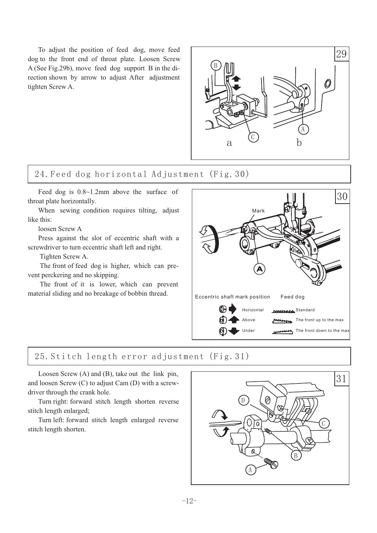To adjust the position of feed dog, move feed dog to the front end of throat plate. Loosen Screw A (See Fig.29b), move feed dog support B in the direction shown by arrow to adjust After adjustment tighten Screw A.



# 24.Feed dog horizontal Adjustment (Fig.30)

Feed dog is 0.8~1.2mm above the surface of throat plate horizontally.

When sewing condition requires tilting, adjust like this:

loosen Screw A

Press against the slot of eccentric shaft with a screwdriver to turn eccentric shaft left and right.

Tighten Screw A.

The front of feed dog is higher, which can prevent perckering and no skipping.

The front of it is lower, which can prevent material sliding and no breakage of bobbin thread.



# 25.Stitch length error adjustment (Fig.31)

Loosen Screw (A) and (B), take out the link pin, and loosen Screw (C) to adjust Cam (D) with a screwdriver through the crank hole.

Turn right: forward stitch length shorten reverse stitch length enlarged;

Turn left: forward stitch length enlarged reverse stitch length shorten.

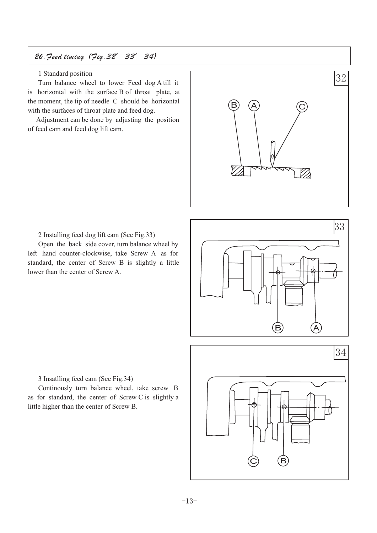# 26.Feed timing (Fig.32、33、34)

#### 1 Standard position

Turn balance wheel to lower Feed dog A till it is horizontal with the surface B of throat plate, at the moment, the tip of needle C should be horizontal with the surfaces of throat plate and feed dog.

Adjustment can be done by adjusting the position of feed cam and feed dog lift cam.



2 Installing feed dog lift cam (See Fig.33)

Open the back side cover, turn balance wheel by left hand counter-clockwise, take Screw A as for standard, the center of Screw B is slightly a little lower than the center of Screw A.



3 Insatlling feed cam (See Fig.34)

Continously turn balance wheel, take screw B as for standard, the center of Screw C is slightly a little higher than the center of Screw B.

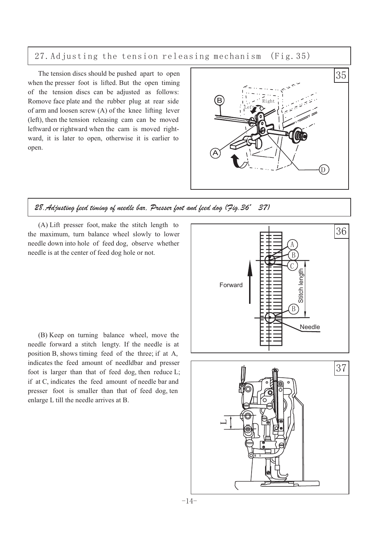27.Adjusting the tension releasing mechanism (Fig.35)

The tension discs should be pushed apart to open when the presser foot is lifted. But the open timing of the tension discs can be adjusted as follows: Romove face plate and the rubber plug at rear side of arm and loosen screw (A) of the knee lifting lever (left), then the tension releasing cam can be moved leftward or rightward when the cam is moved rightward, it is later to open, otherwise it is earlier to open.



#### 28.Adjusting feed timing of needle bar, Presser foot and feed dog (Fig.36、37)

(A) Lift presser foot, make the stitch length to the maximum, turn balance wheel slowly to lower needle down into hole of feed dog, observe whether needle is at the center of feed dog hole or not.

(B) Keep on turning balance wheel, move the needle forward a stitch lengty. If the needle is at position B, shows timing feed of the three; if at A, indicates the feed amount of needldbar and presser foot is larger than that of feed dog, then reduce L; if at C, indicates the feed amount of needle bar and presser foot is smaller than that of feed dog, ten enlarge L till the needle arrives at B.



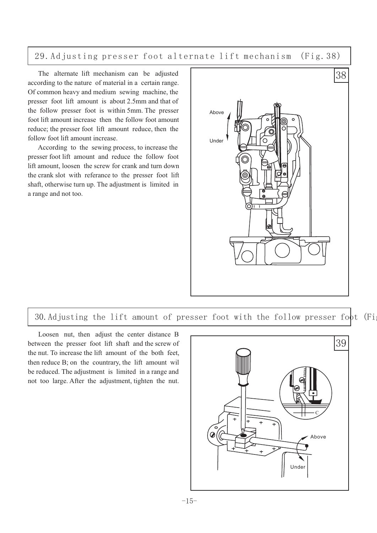29.Adjusting presser foot alternate lift mechanism (Fig.38)

The alternate lift mechanism can be adjusted according to the nature of material in a certain range. Of common heavy and medium sewing machine, the presser foot lift amount is about 2.5mm and that of the follow presser foot is within 5mm. The presser foot lift amount increase then the follow foot amount reduce; the presser foot lift amount reduce, then the follow foot lift amount increase.

According to the sewing process, to increase the presser foot lift amount and reduce the follow foot lift amount, loosen the screw for crank and turn down the crank slot with referance to the presser foot lift shaft, otherwise turn up. The adjustment is limited in a range and not too.



30. Adjusting the lift amount of presser foot with the follow presser foot (Fig.

Loosen nut, then adjust the center distance B between the presser foot lift shaft and the screw of the nut. To increase the lift amount of the both feet, then reduce B; on the countrary, the lift amount wil be reduced. The adjustment is limited in a range and not too large. After the adjustment, tighten the nut.

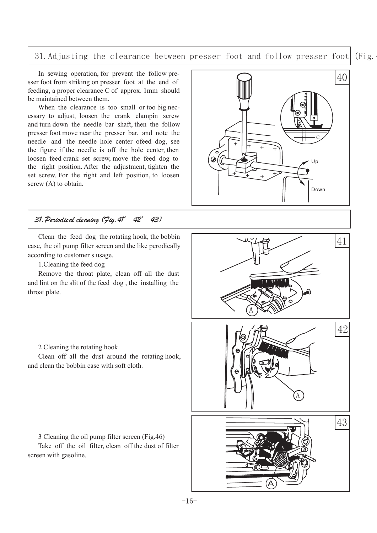#### 31. Adjusting the clearance between presser foot and follow presser foot (Fig.

In sewing operation, for prevent the follow presser foot from striking on presser foot at the end of feeding, a proper clearance C of approx. 1mm should be maintained between them.

When the clearance is too small or too big necessary to adjust, loosen the crank clampin screw and turn down the needle bar shaft, then the follow presser foot move near the presser bar, and note the needle and the needle hole center ofeed dog, see the figure if the needle is off the hole center, then loosen feed crank set screw, move the feed dog to the right position. After the adjustment, tighten the set screw. For the right and left position, to loosen screw (A) to obtain.

#### 31.Periodical cleaning (Fig.41、42、43)

Clean the feed dog the rotating hook, the bobbin case, the oil pump filter screen and the like perodically according to customer s usage.

1.Cleaning the feed dog

Remove the throat plate, clean off all the dust and lint on the slit of the feed dog , the installing the throat plate.





2 Cleaning the rotating hook

Clean off all the dust around the rotating hook, and clean the bobbin case with soft cloth.

3 Cleaning the oil pump filter screen (Fig.46)

Take off the oil filter, clean off the dust of filter screen with gasoline.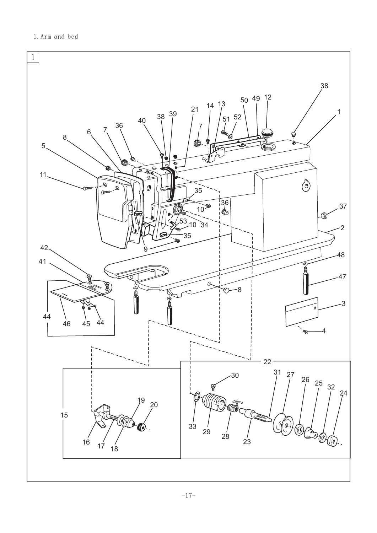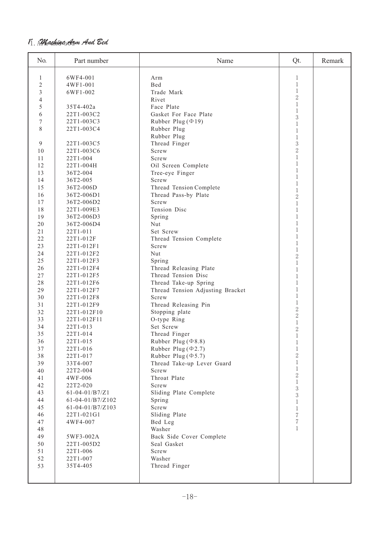#### 11. AMachine <del>Ar</del>m And Bed

| No.            | Part number             | Name                                    | Qt.                            | Remark |
|----------------|-------------------------|-----------------------------------------|--------------------------------|--------|
| 1              | 6WF4-001                | Arm                                     | 1                              |        |
| $\overline{2}$ | 4WF1-001                | Bed                                     | $\,1$                          |        |
| 3              | 6WF1-002                | Trade Mark                              | $\,1$                          |        |
| 4              |                         | Rivet                                   | $\overline{2}$                 |        |
| 5              | 35T4-402a               | Face Plate                              | $1\,$                          |        |
| 6              | 22T1-003C2              | Gasket For Face Plate                   | $\mathbf 1$                    |        |
| 7              | 22T1-003C3              | Rubber Plug $(\Phi 19)$                 | 3                              |        |
| 8              | 22T1-003C4              | Rubber Plug                             | $\mathbf{1}$<br>$\mathbf{1}$   |        |
|                |                         | Rubber Plug                             | $\mathbf{1}$                   |        |
| $\mathfrak{g}$ | 22T1-003C5              | Thread Finger                           | 3                              |        |
| 10             | 22T1-003C6              | Screw                                   | $\overline{2}$                 |        |
| 11             | 22T1-004                | Screw                                   | $1\,$                          |        |
| 12             | 22T1-004H               | Oil Screen Complete                     | $\mathbf{1}$                   |        |
| 13             | 36T2-004                | Tree-eye Finger                         | $\mathbf{1}$                   |        |
| 14             | 36T2-005                | Screw                                   | $\mathbf{1}$<br>$\mathbf{1}$   |        |
| 15             | 36T2-006D               | Thread Tension Complete                 | $\mathbf 1$                    |        |
| 16             | 36T2-006D1              | Thread Pass-by Plate                    | $\overline{2}$                 |        |
| 17             | 36T2-006D2              | Screw                                   | $\mathbf 1$                    |        |
| 18             | 22T1-009E3              | Tension Disc                            | $\mathbf{1}$                   |        |
| 19             | 36T2-006D3              | Spring                                  | $\mathbf 1$                    |        |
| 20             | 36T2-006D4              | Nut                                     | $\mathbf 1$                    |        |
| 21             | 22T1-011                | Set Screw                               | $\mathbf{1}$                   |        |
| 22             | 22T1-012F               | Thread Tension Complete                 | $\mathbf{1}$                   |        |
| 23             | 22T1-012F1              | Screw                                   | $1\,$<br>$1\,$                 |        |
| 24             | 22T1-012F2              | Nut                                     | $\overline{2}$                 |        |
| 25             | 22T1-012F3              | Spring                                  | $1\,$                          |        |
| 26             | 22T1-012F4              | Thread Releasing Plate                  | $\mathbf{1}$                   |        |
| 27             | 22T1-012F5              | Thread Tension Disc                     | $\mathbf{1}$                   |        |
| 28             | 22T1-012F6              | Thread Take-up Spring                   | $\mathbf{1}$                   |        |
| 29             | 22T1-012F7              | Thread Tension Adjusting Bracket        | $\mathbf{1}$                   |        |
| 30             | 22T1-012F8              | Screw                                   | $\,1$                          |        |
| 31             | 22T1-012F9              | Thread Releasing Pin                    | $\mathbf{1}$<br>$\overline{2}$ |        |
| 32             | 22T1-012F10             | Stopping plate                          | $\overline{2}$                 |        |
| 33             | 22T1-012F11             | O-type Ring                             | $\,1$                          |        |
| 34             | 22T1-013                | Set Screw                               | $\overline{2}$                 |        |
| 35             | 22T1-014                | Thread Finger                           | $\mathbf{1}$                   |        |
| 36             | 22T1-015                | Rubber Plug ( $\Phi$ 8.8)               | $\mathbf 1$                    |        |
| 37             | 22T1-016                | Rubber Plug $(\Phi$ 2.7)                | $\,1$                          |        |
| 38             | 22T1-017                | Rubber Plug ( $\Phi$ 5.7)               | $\overline{2}$<br>$\mathbf 1$  |        |
| 39             | 33T4-007                | Thread Take-up Lever Guard              | $\,1$                          |        |
| 40             | 22T2-004                | Screw                                   | $\overline{2}$                 |        |
| 41             | 4WF-006                 | Throat Plate                            | $\,1$                          |        |
| 42             | 22T2-020                | Screw                                   | 3                              |        |
| 43             | $61 - 04 - 01/B7/Z1$    | Sliding Plate Complete                  | 3                              |        |
| 44             | 61-04-01/B7/Z102        | Spring                                  | $\,1$                          |        |
| 45             | $61-04-01/B7/Z103$      | Screw                                   | $\mathbf{1}$                   |        |
| 46             | 22T1-021G1              | Sliding Plate                           | $\sqrt{2}$<br>$\sqrt{2}$       |        |
| 47             | 4WF4-007                | Bed Leg                                 | $\,1$                          |        |
| 48             |                         | Washer                                  |                                |        |
| 49<br>50       | 5WF3-002A<br>22T1-005D2 | Back Side Cover Complete<br>Seal Gasket |                                |        |
| 51             | 22T1-006                | Screw                                   |                                |        |
| 52             | 22T1-007                | Washer                                  |                                |        |
| 53             | 35T4-405                | Thread Finger                           |                                |        |
|                |                         |                                         |                                |        |
|                |                         |                                         |                                |        |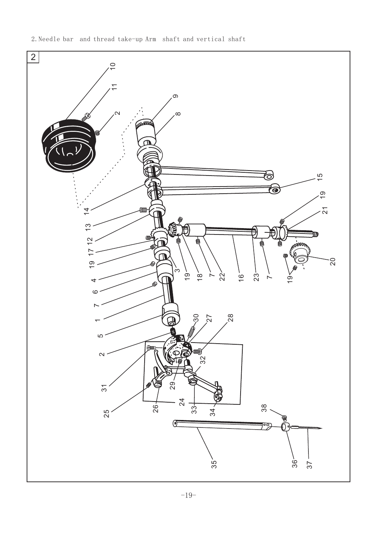2.Needle bar and thread take-up Arm shaft and vertical shaft

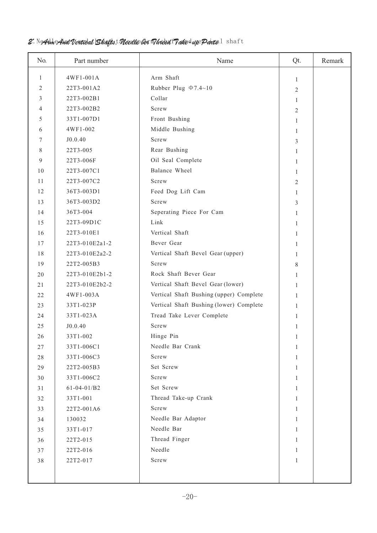#### $2.$  N<del>Ar</del>h And Vertical **Shafts, Needle ber T***hre***ad T***a***ke d***up* **Parts**  $1\;$  **shaft**

| No.            | Part number    | Name                                    | Qt.            | Remark |
|----------------|----------------|-----------------------------------------|----------------|--------|
| 1              | 4WF1-001A      | Arm Shaft                               | 1              |        |
| $\overline{2}$ | 22T3-001A2     | Rubber Plug $\Phi$ 7.4~10               | $\overline{2}$ |        |
| 3              | 22T3-002B1     | Collar                                  | 1              |        |
| 4              | 22T3-002B2     | Screw                                   | 2              |        |
| 5              | 33T1-007D1     | Front Bushing                           | 1              |        |
| 6              | 4WF1-002       | Middle Bushing                          | 1              |        |
| 7              | J0.0.40        | Screw                                   | 3              |        |
| 8              | 22T3-005       | Rear Bushing                            | 1              |        |
| 9              | 22T3-006F      | Oil Seal Complete                       | 1              |        |
| 10             | 22T3-007C1     | Balance Wheel                           | 1              |        |
| 11             | 22T3-007C2     | Screw                                   | 2              |        |
| 12             | 36T3-003D1     | Feed Dog Lift Cam                       | 1              |        |
| 13             | 36T3-003D2     | Screw                                   | 3              |        |
| 14             | 36T3-004       | Seperating Piece For Cam                | 1              |        |
| 15             | 22T3-09D1C     | Link                                    | 1              |        |
| 16             | 22T3-010E1     | Vertical Shaft                          | 1              |        |
| 17             | 22T3-010E2a1-2 | Bever Gear                              | 1              |        |
| 18             | 22T3-010E2a2-2 | Vertical Shaft Bevel Gear (upper)       | 1              |        |
| 19             | 22T2-005B3     | Screw                                   | 8              |        |
| 20             | 22T3-010E2b1-2 | Rock Shaft Bever Gear                   | 1              |        |
| 21             | 22T3-010E2b2-2 | Vertical Shaft Bevel Gear (lower)       | 1              |        |
| 22             | 4WF1-003A      | Vertical Shaft Bushing (upper) Complete | 1              |        |
| 23             | 33T1-023P      | Vertical Shaft Bushing (lower) Complete | 1              |        |
| 24             | 33T1-023A      | Tread Take Lever Complete               | 1              |        |
| 25             | J0.0.40        | Screw                                   | 1              |        |
| 26             | 33T1-002       | Hinge Pin                               | 1              |        |
| 27             | 33T1-006C1     | Needle Bar Crank                        | 1              |        |
| 28             | 33T1-006C3     | Screw                                   | 1              |        |
| 29             | 22T2-005B3     | Set Screw                               | 1              |        |
| 30             | 33T1-006C2     | Screw                                   | 1              |        |
| 31             | $61-04-01/B2$  | Set Screw                               | 1              |        |
| 32             | 33T1-001       | Thread Take-up Crank                    | 1              |        |
| 33             | 22T2-001A6     | Screw                                   | $\mathbf{1}$   |        |
| 34             | 130032         | Needle Bar Adaptor                      | 1              |        |
| 35             | 33T1-017       | Needle Bar                              | 1              |        |
| 36             | 22T2-015       | Thread Finger                           | 1              |        |
| 37             | 22T2-016       | Needle                                  | $\mathbf{1}$   |        |
| 38             | 22T2-017       | Screw                                   | 1              |        |
|                |                |                                         |                |        |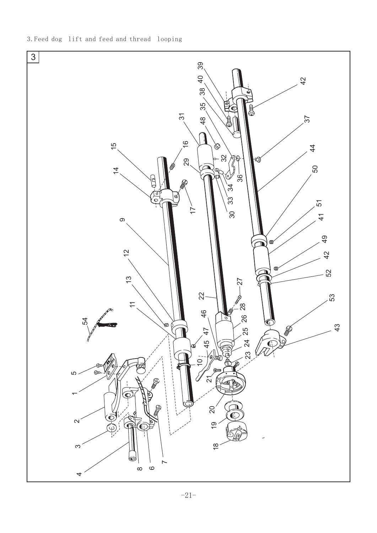

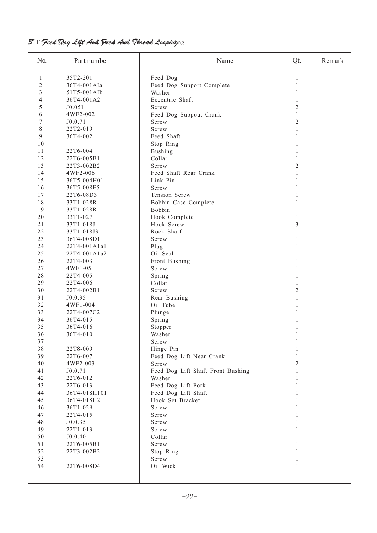#### $\mathcal{B}^\prime$ . Fe $\mathcal{H}$ eed Dog  $\mathcal{A}$ tft  $\mathcal{A}$ nd Fleed  $\mathcal{A}$ md  $\mathcal{H}$ haread  $\mathcal{L}$ ooping $\eta$ g

| No.            | Part number  | Name                              | Qt.            | Remark |
|----------------|--------------|-----------------------------------|----------------|--------|
| 1              | 35T2-201     | Feed Dog                          | 1              |        |
| 2              | 36T4-001AIa  | Feed Dog Support Complete         | 1              |        |
| 3              | 51T5-001AIb  | Washer                            | 1              |        |
| $\overline{4}$ | 36T4-001A2   | Eccentric Shaft                   | 1              |        |
| 5              | J0.051       | Screw                             | $\overline{2}$ |        |
| 6              | 4WF2-002     | Feed Dog Suppout Crank            | $\mathbf{1}$   |        |
| 7              | J0.0.71      | Screw                             | $\overline{2}$ |        |
| $8\,$          | 22T2-019     | Screw                             | $\mathbf{1}$   |        |
| 9              | 36T4-002     | Feed Shaft                        | 1              |        |
| 10             |              | Stop Ring                         | 1              |        |
| 11             | 22T6-004     | <b>Bushing</b>                    | 1              |        |
| 12             | 22T6-005B1   | Collar                            | $\mathbf{1}$   |        |
| 13             | 22T3-002B2   | Screw                             | $\overline{2}$ |        |
| 14             | 4WF2-006     | Feed Shaft Rear Crank             | $\mathbf{1}$   |        |
| 15             | 36T5-004H01  | Link Pin                          | 1              |        |
| 16             | 36T5-008E5   | Screw                             | 1              |        |
| 17             | 22T6-08D3    | Tension Screw                     | 1              |        |
| 18             | 33T1-028R    | Bobbin Case Complete              | 1              |        |
| 19             | 33T1-028R    | Bobbin                            | 1              |        |
| 20             | 33T1-027     | Hook Complete                     | 1              |        |
| 21             | 33T1-018J    | Hook Screw                        | 3              |        |
| 22             | 33T1-018J3   | Rock Shatf                        | $\mathbf{1}$   |        |
| 23             | 36T4-008D1   | Screw                             | 1              |        |
| 24             | 22T4-001A1a1 | Plug                              | 1              |        |
| 25             | 22T4-001A1a2 | Oil Seal                          | 1              |        |
| 26             | 22T4-003     | Front Bushing                     | 1              |        |
| 27             | 4WF1-05      | Screw                             | 1              |        |
| 28             | 22T4-005     | Spring                            | 1              |        |
| 29             | 22T4-006     | Collar                            | 1              |        |
| 30             | 22T4-002B1   | Screw                             | 2              |        |
| 31             | J0.0.35      | Rear Bushing                      | 1              |        |
| 32             | 4WF1-004     | Oil Tube                          |                |        |
| 33             | 22T4-007C2   | Plunge                            |                |        |
| 34             | 36T4-015     | Spring                            | 1              |        |
| 35             | 36T4-016     | Stopper                           | 1              |        |
| 36             | 36T4-010     | Washer                            | 1              |        |
| $37\,$         |              | Screw                             | 1              |        |
| 38             | 22T8-009     | Hinge Pin                         | 1              |        |
| 39             | 22T6-007     | Feed Dog Lift Near Crank          | $\mathbf{1}$   |        |
| 40             | 4WF2-003     | Screw                             | $\overline{2}$ |        |
| 41             | J0.0.71      | Feed Dog Lift Shaft Front Bushing | $\mathbf{1}$   |        |
| 42             | 22T6-012     | Washer                            | 1              |        |
| 43             | 22T6-013     | Feed Dog Lift Fork                | 1              |        |
| 44             | 36T4-018H101 | Feed Dog Lift Shaft               | 1              |        |
| 45             | 36T4-018H2   | Hook Set Bracket                  | 1              |        |
| 46             | 36T1-029     | Screw                             |                |        |
| 47             | 22T4-015     | Screw                             |                |        |
| 48             | J0.0.35      | Screw                             | 1              |        |
| 49             | 22T1-013     | Screw                             | 1              |        |
| 50             | J0.0.40      | Collar                            | 1              |        |
| 51             | 22T6-005B1   | Screw                             | 1              |        |
| 52             | 22T3-002B2   | Stop Ring                         | 1              |        |
| 53             |              | Screw                             | 1              |        |
| 54             | 22T6-008D4   | Oil Wick                          | $\mathbf{1}$   |        |
|                |              |                                   |                |        |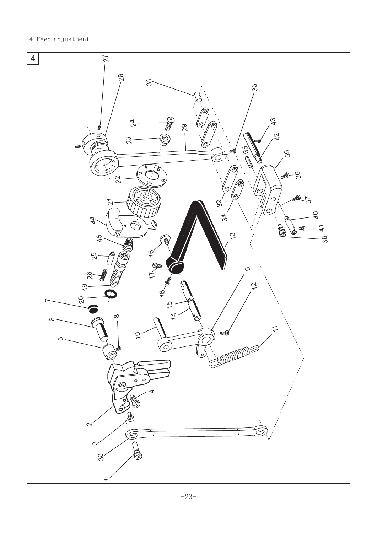4.Feed adjustment

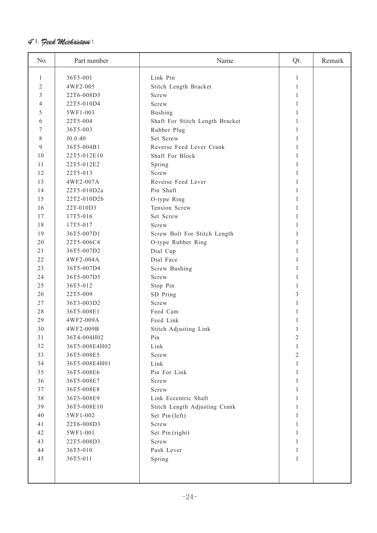### **4°4. Feed Mechanism**et

| No.      | Part number   | Name                            | Qt.          | Remark |
|----------|---------------|---------------------------------|--------------|--------|
| 1        | 36T5-001      | Link Pin                        | 1            |        |
| 2        | 4WF2-005      | Stitch Length Bracket           | 1            |        |
| 3        | 22T6-008D3    | Screw                           | 1            |        |
| 4        | 22T5-010D4    | Screw                           | 1            |        |
| 5        | 5WF1-003      | <b>Bushing</b>                  | $\mathbf{1}$ |        |
| 6        | 22T5-004      | Shaft For Stitch Length Bracket | 1            |        |
| 7        | 36T5-003      | Rubber Plug                     | 1            |        |
| 8        | J0.0.40       | Set Screw                       | 1            |        |
| 9        | 36T5-004B1    | Reverse Feed Lever Crank        | 1            |        |
| 10       | 22T5-012E10   | Shaft For Block                 | 1            |        |
| 11       | 22T5-012E2    | Spring                          | 1            |        |
| 12       | 22T5-013      | Screw                           | 1            |        |
| 13       | 4WF2-007A     | Reverse Feed Lever              | 1            |        |
| 14       | 22T5-010D2a   | Pin Shaft                       | 1            |        |
| 15       | 22T2-010D2b   | O-type Ring                     | 1            |        |
| 16       | 22T-010D3     | Tension Screw                   | 1            |        |
| 17       | 17T5-016      | Set Screw                       | 1            |        |
|          | 17T5-017      | Screw                           | 1            |        |
| 18<br>19 | 36T5-007D1    |                                 | 1            |        |
|          |               | Screw Bolt For Stitch Length    |              |        |
| 20       | 22T5-006C4    | O-type Rubber Ring              | 1            |        |
| 21       | 36T5-007D2    | Dial Cup<br>Dial Face           | 1            |        |
| 22       | 4WF2-004A     |                                 | 1            |        |
| 23       | 36T5-007D4    | Screw Bushing                   | 1            |        |
| 24       | 36T5-007D5    | Screw                           | 1            |        |
| 25       | 36T5-012      | Stop Pin                        | 1            |        |
| 26       | 22T5-009      | SD Pring                        | 3            |        |
| 27       | 36T3-003D2    | Screw                           | 1            |        |
| 28       | 36T5-008E1    | Feed Cam                        | 1            |        |
| 29       | 4WF2-009A     | Feed Link                       | 1            |        |
| 30       | 4WF2-009B     | Stitch Adjusting Link           | 1            |        |
| $3\,1$   | 36T4-004H02   | Pin                             | 2            |        |
| 32       | 36T5-008E4H02 | Link                            | 1            |        |
| 33       | 36T5-008E5    | Screw                           | $\mathbf 2$  |        |
| 34       | 36T5-008E4H01 | Link                            | $\mathbf{1}$ |        |
| 35       | 36T5-008E6    | Pin For Link                    | 1            |        |
| 36       | 36T5-008E7    | Screw                           | 1            |        |
| 37       | 36T5-008E8    | Screw                           | 1            |        |
| 38       | 36T5-008E9    | Link Eccentric Shaft            | 1            |        |
| 39       | 36T5-008E10   | Stitch Length Adjusting Crank   | 1            |        |
| 40       | 5WF1-002      | Set Pin (left)                  | 1            |        |
| 41       | 22T6-008D3    | Screw                           | $\mathbf{1}$ |        |
| 42       | 5WF1-001      | Set Pin (right)                 | 1            |        |
| 43       | 22T5-008D3    | Screw                           | 1            |        |
| 44       | 36T5-010      | Push Lever                      | $\mathbf{1}$ |        |
| 45       | 36T5-011      | Spring                          | 1            |        |
|          |               |                                 |              |        |
|          |               |                                 |              |        |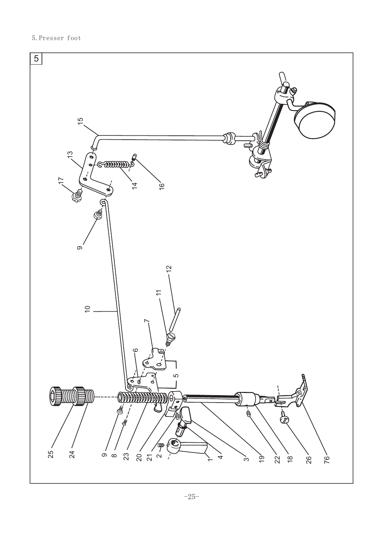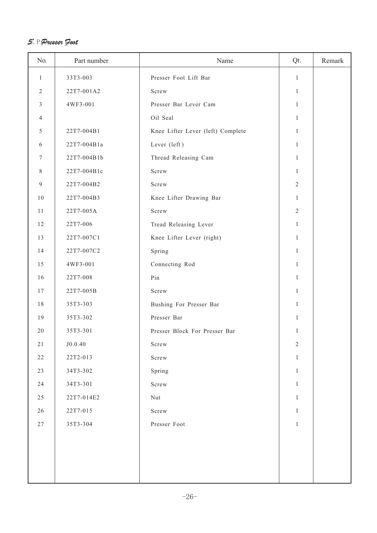#### 5、Presser Foot 5.Presser foot

| No.              | Part number | Name                              | Qt.            | Remark |
|------------------|-------------|-----------------------------------|----------------|--------|
| $\mathbf{1}$     | 33T3-003    | Presser Foot Lift Bar             | $\mathbf{1}$   |        |
| $\overline{2}$   | 22T7-001A2  | Screw                             | 1              |        |
| 3                | 4WF3-001    | Presser Bar Lever Cam             | 1              |        |
| 4                |             | Oil Seal                          | 1              |        |
| 5                | 22T7-004B1  | Knee Lifter Lever (left) Complete | 1              |        |
| 6                | 22T7-004B1a | Lever (left)                      | $\mathbf{1}$   |        |
| 7                | 22T7-004B1b | Thread Releasing Cam              | 1              |        |
| 8                | 22T7-004B1c | Screw                             | 1              |        |
| $\boldsymbol{9}$ | 22T7-004B2  | Screw                             | $\overline{c}$ |        |
| 10               | 22T7-004B3  | Knee Lifter Drawing Bar           | 1              |        |
| 11               | 22T7-005A   | Screw                             | $\overline{2}$ |        |
| 12               | 22T7-006    | Tread Releasing Lever             | 1              |        |
| 13               | 22T7-007C1  | Knee Lifter Lever (right)         | 1              |        |
| 14               | 22T7-007C2  | Spring                            | 1              |        |
| 15               | 4WF3-001    | Connecting Rod                    | $\mathbf{1}$   |        |
| 16               | 22T7-008    | Pin                               | 1              |        |
| 17               | 22T7-005B   | Screw                             | $\mathbf{1}$   |        |
| 18               | 35T3-303    | Bushing For Presser Bar           | 1              |        |
| 19               | 35T3-302    | Presser Bar                       | $\mathbf{1}$   |        |
| 20               | 35T3-301    | Presser Block For Presser Bar     | 1              |        |
| $2\sqrt{1}$      | J0.0.40     | ${\tt Screw}$                     | $\sqrt{2}$     |        |
| 22               | 22T2-013    | Screw                             | 1              |        |
| 23               | 34T3-302    | Spring                            | $\mathbf{1}$   |        |
| 24               | 34T3-301    | Screw                             | $\mathbf{1}$   |        |
| 25               | 22T7-014E2  | Nut                               | $\mathbf{1}$   |        |
| 26               | 22T7-015    | Screw                             | 1              |        |
| 27               | 35T3-304    | Presser Foot                      | $\mathbf{1}$   |        |
|                  |             |                                   |                |        |
|                  |             |                                   |                |        |
|                  |             |                                   |                |        |
|                  |             |                                   |                |        |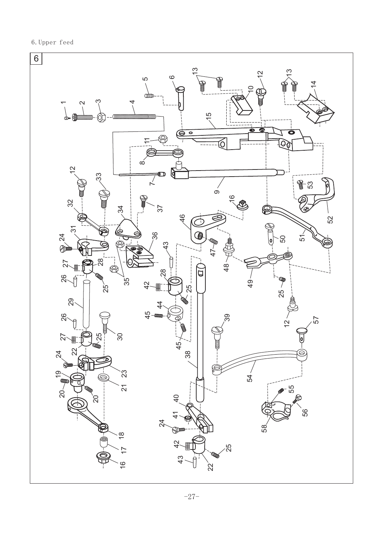6.Upper feed

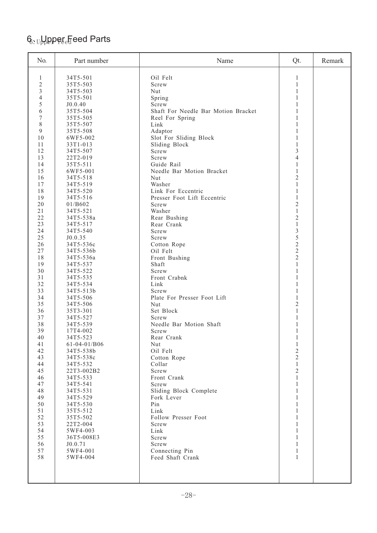# $\mathsf{G}_{\Sigma\mathrm{U}}$ ppper $_{\mathrm{e}}$ Feed Parts

| No.            | Part number          | Name                                | Qt.                        | Remark |
|----------------|----------------------|-------------------------------------|----------------------------|--------|
| 1              | 34T5-501             | Oil Felt                            | 1                          |        |
| $\overline{2}$ | 35T5-503             | Screw                               | $\mathbf{1}$               |        |
| $\mathfrak{Z}$ | 34T5-503             | Nut                                 | 1                          |        |
| $\overline{4}$ | 35T5-501             | Spring                              | $\mathbf{1}$               |        |
| 5              | J0.0.40              | Screw                               | $\mathbf{1}$               |        |
| 6              | 35T5-504             | Shaft For Needle Bar Motion Bracket | $\mathbf{1}$               |        |
| 7              | 35T5-505             | Reel For Spring                     | 1                          |        |
| 8              | 35T5-507             | Link                                | 1                          |        |
| 9              | 35T5-508             | Adaptor                             | 1                          |        |
| 10             | 6WF5-002             | Slot For Sliding Block              | 1                          |        |
| 11             | 33T1-013             | Sliding Block                       | $\mathbf{1}$               |        |
| 12             | 34T5-507             | Screw                               | 3                          |        |
| 13             | 22T2-019             | Screw                               | 4                          |        |
| 14             | 35T5-511             | Guide Rail                          | 1                          |        |
| 15             | 6WF5-001             | Needle Bar Motion Bracket           | $\mathbf{1}$               |        |
| 16             | 34T5-518             | Nut                                 | $\overline{2}$             |        |
| 17             | 34T5-519             | Washer                              | $\mathbf{1}$               |        |
| 18             | 34T5-520             | Link For Eccentric                  | 1                          |        |
| 19             | 34T5-516             | Presser Foot Lift Eccentric         | $\mathbf{1}$               |        |
| 20             | 01/B602              | Screw                               | $\overline{2}$             |        |
| 21             | 34T5-521             | Washer                              | 1                          |        |
| 22             | 34T5-538a            | Rear Bushing                        | $\overline{2}$             |        |
| 23             | 34T5-517             | Rear Crank                          | $\mathbf{1}$               |        |
| 24             | 34T5-540             | Screw                               | $\sqrt{3}$                 |        |
| 25             | J0.0.35              | Screw                               | 5                          |        |
| 26             | 34T5-536c            | Cotton Rope                         | $\overline{c}$             |        |
| 27             | 34T5-536b            | Oil Felt                            | $\overline{2}$             |        |
| 18             | 34T5-536a            | Front Bushing                       | $\overline{2}$             |        |
| 19             | 34T5-537             | Shaft                               | 1                          |        |
| 30             | 34T5-522             | Screw                               | $\mathbf{1}$               |        |
| 31             | 34T5-535             | Front Crabnk                        | 1                          |        |
| 32             | 34T5-534             | Link                                | 1                          |        |
| 33             | 34T5-513b            | Screw                               | 1                          |        |
| 34             | 34T5-506             | Plate For Presser Foot Lift         | 1                          |        |
| 35             | 34T5-506             | Nut                                 | $\mathfrak{2}$             |        |
| 36             | 35T3-301             | Set Block                           | $\mathbf{1}$               |        |
| 37             | 34T5-527             | Screw                               | $\mathbf{1}$               |        |
| 38             | 34T5-539             | Needle Bar Motion Shaft             | 1                          |        |
| 39<br>40       | 17T4-002<br>34T5-523 | Screw<br>Rear Crank                 | 1                          |        |
| 41             | 61-04-01/B06         | Nut                                 | $\,1$                      |        |
| 42             | 34T5-538b            | Oil Felt                            | $\mathbf{1}$<br>$\sqrt{2}$ |        |
| 43             | 34T5-538c            | Cotton Rope                         | $\overline{2}$             |        |
| 44             | 34T5-532             | Collar                              | $\mathbf{1}$               |        |
| 45             | 22T3-002B2           | Screw                               | $\sqrt{2}$                 |        |
| 46             | 34T5-533             | Front Crank                         | $\mathbf{1}$               |        |
| 47             | 34T5-541             | Screw                               | $\mathbf{1}$               |        |
| 48             | 34T5-531             | Sliding Block Complete              | $\mathbf{1}$               |        |
| 49             | 34T5-529             | Fork Lever                          | $\mathbf{1}$               |        |
| 50             | 34T5-530             | Pin                                 | $\mathbf{1}$               |        |
| 51             | 35T5-512             | Link                                | $\mathbf{1}$               |        |
| 52             | 35T5-502             | Follow Presser Foot                 | $\mathbf{1}$               |        |
| 53             | 22T2-004             | Screw                               | $\mathbf{1}$               |        |
| 54             | 5WF4-003             | Link                                | $\mathbf{1}$               |        |
| 55             | 36T5-008E3           | Screw                               | $\mathbf{1}$               |        |
| 56             | J0.0.71              | Screw                               | $\mathbf{1}$               |        |
| 57             | 5WF4-001             | Connecting Pin                      | $\mathbf{1}$               |        |
| 58             | 5WF4-004             | Feed Shaft Crank                    | 1                          |        |
|                |                      |                                     |                            |        |
|                |                      |                                     |                            |        |
|                |                      |                                     |                            |        |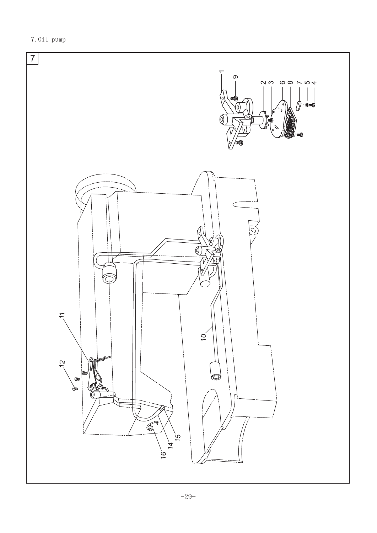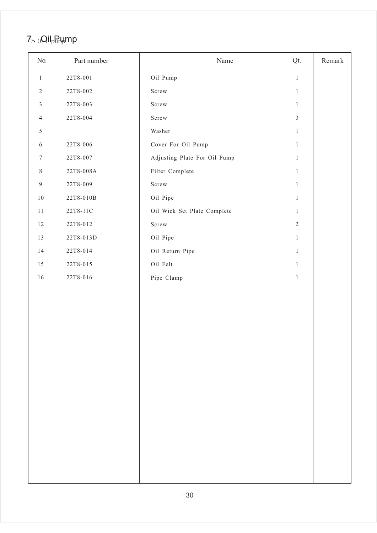# $7<sub>7</sub>$   $_0$ Qil<sub>p</sub>p<sub>ump</sub> mp

| No.              | Part number  | Name                         | Qt.            | Remark |
|------------------|--------------|------------------------------|----------------|--------|
| $\mathbf{1}$     | 22T8-001     | Oil Pump                     | $\mathbf{1}$   |        |
| $\sqrt{2}$       | 22T8-002     | Screw                        | $\mathbf{1}$   |        |
| $\mathfrak{Z}$   | 22T8-003     | Screw                        | $\mathbf{1}$   |        |
| $\overline{4}$   | 22T8-004     | ${\tt Screw}$                | $\mathfrak{Z}$ |        |
| $\sqrt{5}$       |              | Washer                       | $\,1$          |        |
| $\sqrt{6}$       | 22T8-006     | Cover For Oil Pump           | $\mathbf{1}$   |        |
| $\tau$           | $22T8 - 007$ | Adjusting Plate For Oil Pump | $\mathbf{1}$   |        |
| $\,8\,$          | 22T8-008A    | Filter Complete              | $\mathbf{1}$   |        |
| $\boldsymbol{9}$ | 22T8-009     | Screw                        | $\mathbf{1}$   |        |
| $1\,0$           | 22T8-010B    | Oil Pipe                     | $\mathbf{1}$   |        |
| $11\,$           | 22T8-11C     | Oil Wick Set Plate Complete  | $\mathbf{1}$   |        |
| $12\,$           | 22T8-012     | ${\tt Screw}$                | $\sqrt{2}$     |        |
| 13               | 22T8-013D    | Oil Pipe                     | $\mathbf{1}$   |        |
| 14               | 22T8-014     | Oil Return Pipe              | $\mathbf{1}$   |        |
| 15               | 22T8-015     | Oil Felt                     | $\mathbf{1}$   |        |
| $16\,$           | 22T8-016     | Pipe Clamp                   | $\mathbf{1}$   |        |
|                  |              |                              |                |        |
|                  |              |                              |                |        |
|                  |              |                              |                |        |
|                  |              |                              |                |        |
|                  |              |                              |                |        |
|                  |              |                              |                |        |
|                  |              |                              |                |        |
|                  |              |                              |                |        |
|                  |              |                              |                |        |
|                  |              |                              |                |        |
|                  |              |                              |                |        |
|                  |              |                              |                |        |
|                  |              |                              |                |        |
|                  |              |                              |                |        |
|                  |              |                              |                |        |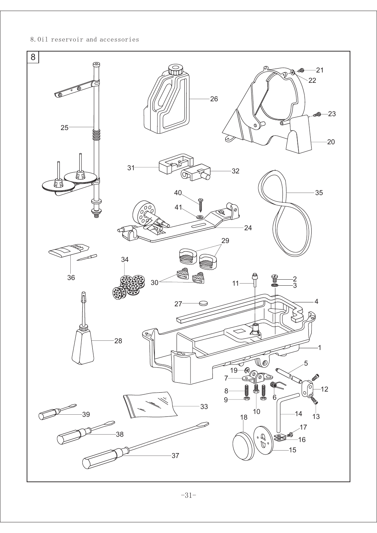#### 8.Oil reservoir and accessories



-31-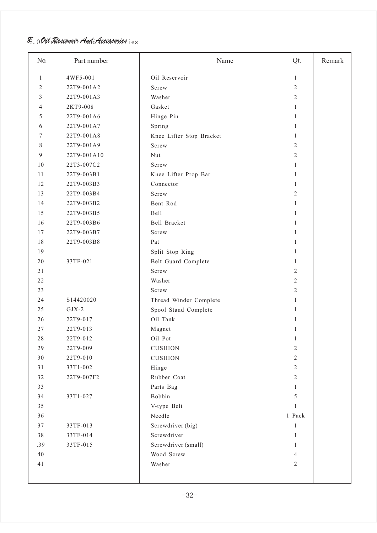### $\mathscr{\widetilde{B}}$ .  $0$  Oil Reservoir And Accessories  $\mathrm{i}\, \mathrm{e}\, \mathrm{s}$

| No. | Part number | Name                     | Qt.            | Remark |
|-----|-------------|--------------------------|----------------|--------|
| 1   | 4WF5-001    | Oil Reservoir            | 1              |        |
| 2   | 22T9-001A2  | Screw                    | $\sqrt{2}$     |        |
| 3   | 22T9-001A3  | Washer                   | $\mathbf{2}$   |        |
| 4   | 2KT9-008    | Gasket                   | $\mathbf{1}$   |        |
| 5   | 22T9-001A6  | Hinge Pin                | 1              |        |
| 6   | 22T9-001A7  | Spring                   | 1              |        |
| 7   | 22T9-001A8  | Knee Lifter Stop Bracket | 1              |        |
| 8   | 22T9-001A9  | Screw                    | $\sqrt{2}$     |        |
| 9   | 22T9-001A10 | Nut                      | $\mathbf{2}$   |        |
| 10  | 22T3-007C2  | Screw                    | 1              |        |
| 11  | 22T9-003B1  | Knee Lifter Prop Bar     | 1              |        |
| 12  | 22T9-003B3  | Connector                | $\mathbf{1}$   |        |
| 13  | 22T9-003B4  | Screw                    | $\mathbf{2}$   |        |
| 14  | 22T9-003B2  | Bent Rod                 | $\mathbf{1}$   |        |
| 15  | 22T9-003B5  | <b>Bell</b>              | 1              |        |
| 16  | 22T9-003B6  | Bell Bracket             | 1              |        |
| 17  | 22T9-003B7  | Screw                    | 1              |        |
| 18  | 22T9-003B8  | Pat                      | 1              |        |
| 19  |             | Split Stop Ring          | 1              |        |
| 20  | 33TF-021    | Belt Guard Complete      | 1              |        |
| 21  |             | Screw                    | 2              |        |
| 22  |             | Washer                   | $\sqrt{2}$     |        |
| 23  |             | Screw                    | $\overline{2}$ |        |
| 24  | S14420020   | Thread Winder Complete   | 1              |        |
| 25  | $GJX-2$     | Spool Stand Complete     | 1              |        |
| 26  | 22T9-017    | Oil Tank                 | 1              |        |
| 27  | 22T9-013    | Magnet                   | 1              |        |
| 28  | 22T9-012    | Oil Pot                  | 1              |        |
| 29  | 22T9-009    | <b>CUSHION</b>           | $\sqrt{2}$     |        |
| 30  | 22T9-010    | <b>CUSHION</b>           | $\sqrt{2}$     |        |
| 31  | 33T1-002    | Hinge                    | $\sqrt{2}$     |        |
| 32  | 22T9-007F2  | Rubber Coat              | $2\,$          |        |
| 33  |             | Parts Bag                | $\mathbf{1}$   |        |
| 34  | 33T1-027    | Bobbin                   | 5              |        |
| 35  |             | V-type Belt              | 1              |        |
| 36  |             | Needle                   | 1 Pack         |        |
| 37  | 33TF-013    | Screwdriver (big)        | 1              |        |
| 38  | 33TF-014    | Screwdriver              | $\mathbf{1}$   |        |
| .39 | 33TF-015    | Screwdriver (small)      | 1              |        |
| 40  |             | Wood Screw               | $\overline{4}$ |        |
|     |             |                          |                |        |
| 41  |             | Washer                   | $2\,$          |        |